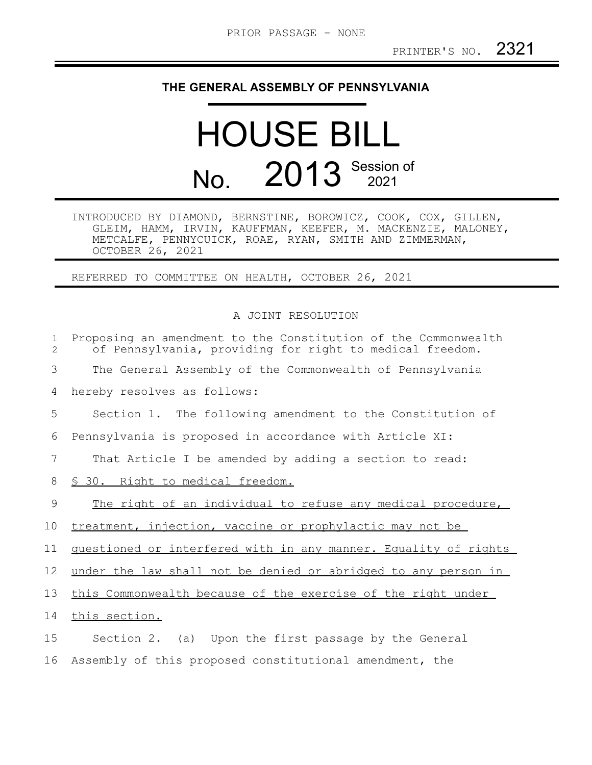## **THE GENERAL ASSEMBLY OF PENNSYLVANIA**

## HOUSE BILL No. 2013 Session of

INTRODUCED BY DIAMOND, BERNSTINE, BOROWICZ, COOK, COX, GILLEN, GLEIM, HAMM, IRVIN, KAUFFMAN, KEEFER, M. MACKENZIE, MALONEY, METCALFE, PENNYCUICK, ROAE, RYAN, SMITH AND ZIMMERMAN, OCTOBER 26, 2021

REFERRED TO COMMITTEE ON HEALTH, OCTOBER 26, 2021

## A JOINT RESOLUTION

| $\mathbf{1}$<br>$\overline{2}$ | Proposing an amendment to the Constitution of the Commonwealth<br>of Pennsylvania, providing for right to medical freedom. |
|--------------------------------|----------------------------------------------------------------------------------------------------------------------------|
| 3                              | The General Assembly of the Commonwealth of Pennsylvania                                                                   |
| 4                              | hereby resolves as follows:                                                                                                |
| 5                              | Section 1. The following amendment to the Constitution of                                                                  |
| 6                              | Pennsylvania is proposed in accordance with Article XI:                                                                    |
| 7                              | That Article I be amended by adding a section to read:                                                                     |
| 8                              | § 30. Right to medical freedom.                                                                                            |
| 9                              | The right of an individual to refuse any medical procedure,                                                                |
| 10 <sub>o</sub>                | treatment, injection, vaccine or prophylactic may not be                                                                   |
| 11                             | guestioned or interfered with in any manner. Equality of rights                                                            |
| 12                             | under the law shall not be denied or abridged to any person in                                                             |
| 13                             | this Commonwealth because of the exercise of the right under                                                               |
| 14                             | this section.                                                                                                              |
| 15                             | Section 2. (a) Upon the first passage by the General                                                                       |
| 16                             | Assembly of this proposed constitutional amendment, the                                                                    |